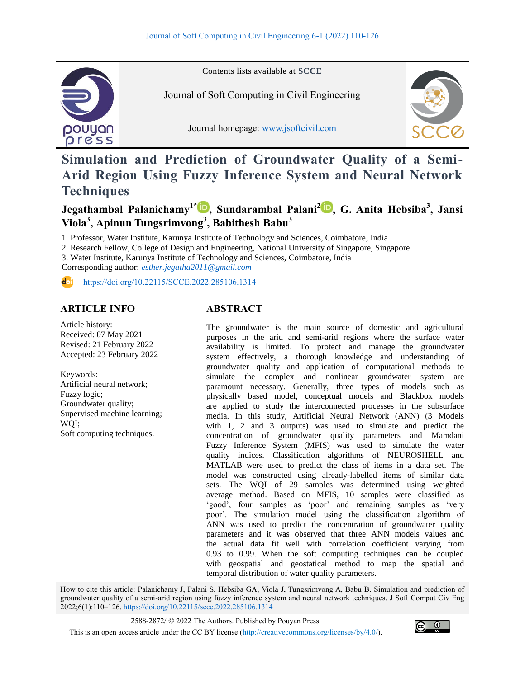

Contents lists available at **SCCE**

Journal of Soft Computing in Civil Engineering

Journal homepage: [www.jsoftcivil.com](http://www.jsoftcivil.com/)



# **Simulation and Prediction of Groundwater Quality of a Semi-Arid Region Using Fuzzy Inference System and Neural Network Techniques**

## **Jegathambal Palanichamy1[\\*](https://orcid.org/0000-0003-4494-8664) , Sundarambal Palani<sup>2</sup> [,](https://orcid.org/0000-0002-5644-9128) G. Anita Hebsiba<sup>3</sup> , Jansi Viola<sup>3</sup> , Apinun Tungsrimvong<sup>3</sup> , Babithesh Babu<sup>3</sup>**

1. Professor, Water Institute, Karunya Institute of Technology and Sciences, Coimbatore, India

2. Research Fellow, College of Design and Engineering, National University of Singapore, Singapore

3. Water Institute, Karunya Institute of Technology and Sciences, Coimbatore, India

Corresponding author: *[esther.jegatha2011@gmail.com](mailto:esther.jegatha2011@gmail.com)*

<https://doi.org/10.22115/SCCE.2022.285106.1314>

## **ARTICLE INFO ABSTRACT**

 $\mathbf{d}$ 

Article history: Received: 07 May 2021 Revised: 21 February 2022 Accepted: 23 February 2022

Keywords: Artificial neural network; Fuzzy logic; Groundwater quality; Supervised machine learning; WQI; Soft computing techniques.

The groundwater is the main source of domestic and agricultural purposes in the arid and semi-arid regions where the surface water availability is limited. To protect and manage the groundwater system effectively, a thorough knowledge and understanding of groundwater quality and application of computational methods to simulate the complex and nonlinear groundwater system are paramount necessary. Generally, three types of models such as physically based model, conceptual models and Blackbox models are applied to study the interconnected processes in the subsurface media. In this study, Artificial Neural Network (ANN) (3 Models with 1, 2 and 3 outputs) was used to simulate and predict the concentration of groundwater quality parameters and Mamdani Fuzzy Inference System (MFIS) was used to simulate the water quality indices. Classification algorithms of NEUROSHELL and MATLAB were used to predict the class of items in a data set. The model was constructed using already-labelled items of similar data sets. The WQI of 29 samples was determined using weighted average method. Based on MFIS, 10 samples were classified as 'good', four samples as 'poor' and remaining samples as 'very poor'. The simulation model using the classification algorithm of ANN was used to predict the concentration of groundwater quality parameters and it was observed that three ANN models values and the actual data fit well with correlation coefficient varying from 0.93 to 0.99. When the soft computing techniques can be coupled with geospatial and geostatical method to map the spatial and temporal distribution of water quality parameters.

How to cite this article: Palanichamy J, Palani S, Hebsiba GA, Viola J, Tungsrimvong A, Babu B. Simulation and prediction of groundwater quality of a semi-arid region using fuzzy inference system and neural network techniques. J Soft Comput Civ Eng 2022;6(1):110–126. <https://doi.org/10.22115/scce.2022.285106.1314>

2588-2872/ © 2022 The Authors. Published by Pouyan Press.

This is an open access article under the CC BY license [\(http://creativecommons.org/licenses/by/4.0/\)](http://creativecommons.org/licenses/by/4.0/).

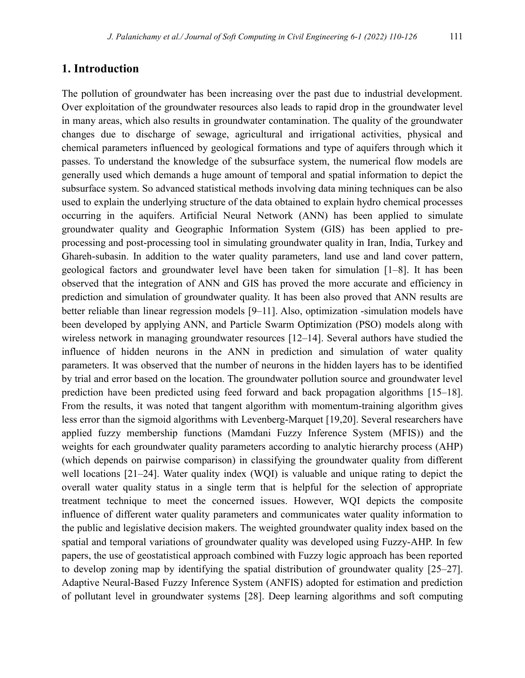The pollution of groundwater has been increasing over the past due to industrial development. Over exploitation of the groundwater resources also leads to rapid drop in the groundwater level in many areas, which also results in groundwater contamination. The quality of the groundwater changes due to discharge of sewage, agricultural and irrigational activities, physical and chemical parameters influenced by geological formations and type of aquifers through which it passes. To understand the knowledge of the subsurface system, the numerical flow models are generally used which demands a huge amount of temporal and spatial information to depict the subsurface system. So advanced statistical methods involving data mining techniques can be also used to explain the underlying structure of the data obtained to explain hydro chemical processes occurring in the aquifers. Artificial Neural Network (ANN) has been applied to simulate groundwater quality and Geographic Information System (GIS) has been applied to preprocessing and post-processing tool in simulating groundwater quality in Iran, India, Turkey and Ghareh-subasin. In addition to the water quality parameters, land use and land cover pattern, geological factors and groundwater level have been taken for simulation [1–8]. It has been observed that the integration of ANN and GIS has proved the more accurate and efficiency in prediction and simulation of groundwater quality. It has been also proved that ANN results are better reliable than linear regression models [9–11]. Also, optimization -simulation models have been developed by applying ANN, and Particle Swarm Optimization (PSO) models along with wireless network in managing groundwater resources [12–14]. Several authors have studied the influence of hidden neurons in the ANN in prediction and simulation of water quality parameters. It was observed that the number of neurons in the hidden layers has to be identified by trial and error based on the location. The groundwater pollution source and groundwater level prediction have been predicted using feed forward and back propagation algorithms [15–18]. From the results, it was noted that tangent algorithm with momentum-training algorithm gives less error than the sigmoid algorithms with Levenberg-Marquet [19,20]. Several researchers have applied fuzzy membership functions (Mamdani Fuzzy Inference System (MFIS)) and the weights for each groundwater quality parameters according to analytic hierarchy process (AHP) (which depends on pairwise comparison) in classifying the groundwater quality from different well locations [21–24]. Water quality index (WQI) is valuable and unique rating to depict the overall water quality status in a single term that is helpful for the selection of appropriate treatment technique to meet the concerned issues. However, WQI depicts the composite influence of different water quality parameters and communicates water quality information to the public and legislative decision makers. The weighted groundwater quality index based on the spatial and temporal variations of groundwater quality was developed using Fuzzy-AHP. In few papers, the use of geostatistical approach combined with Fuzzy logic approach has been reported to develop zoning map by identifying the spatial distribution of groundwater quality [25–27]. Adaptive Neural-Based Fuzzy Inference System (ANFIS) adopted for estimation and prediction of pollutant level in groundwater systems [28]. Deep learning algorithms and soft computing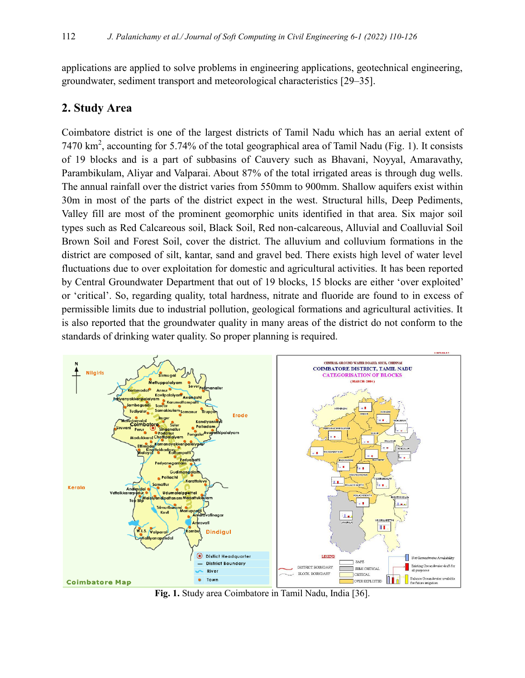applications are applied to solve problems in engineering applications, geotechnical engineering, groundwater, sediment transport and meteorological characteristics [29–35].

### **2. Study Area**

Coimbatore district is one of the largest districts of Tamil Nadu which has an aerial extent of 7470  $\text{km}^2$ , accounting for 5.74% of the total geographical area of Tamil Nadu (Fig. 1). It consists of 19 blocks and is a part of subbasins of Cauvery such as Bhavani, Noyyal, Amaravathy, Parambikulam, Aliyar and Valparai. About 87% of the total irrigated areas is through dug wells. The annual rainfall over the district varies from 550mm to 900mm. Shallow aquifers exist within 30m in most of the parts of the district expect in the west. Structural hills, Deep Pediments, Valley fill are most of the prominent geomorphic units identified in that area. Six major soil types such as Red Calcareous soil, Black Soil, Red non-calcareous, Alluvial and Coalluvial Soil Brown Soil and Forest Soil, cover the district. The alluvium and colluvium formations in the district are composed of silt, kantar, sand and gravel bed. There exists high level of water level fluctuations due to over exploitation for domestic and agricultural activities. It has been reported by Central Groundwater Department that out of 19 blocks, 15 blocks are either 'over exploited' or 'critical'. So, regarding quality, total hardness, nitrate and fluoride are found to in excess of permissible limits due to industrial pollution, geological formations and agricultural activities. It is also reported that the groundwater quality in many areas of the district do not conform to the standards of drinking water quality. So proper planning is required.



**Fig. 1.** Study area Coimbatore in Tamil Nadu, India [36].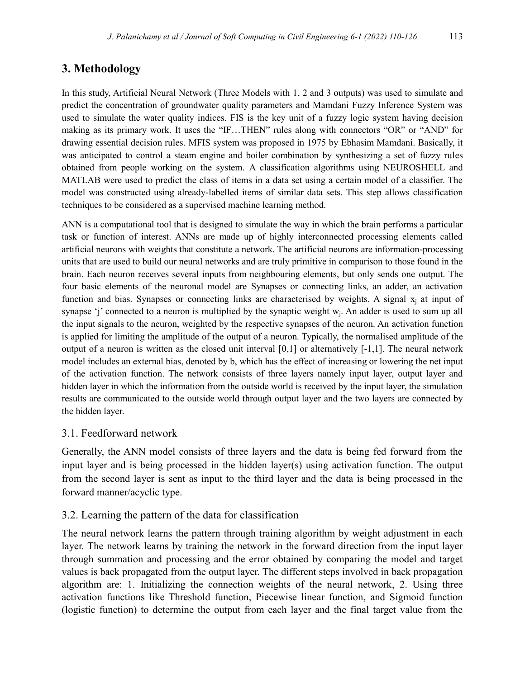# **3. Methodology**

In this study, Artificial Neural Network (Three Models with 1, 2 and 3 outputs) was used to simulate and predict the concentration of groundwater quality parameters and Mamdani Fuzzy Inference System was used to simulate the water quality indices. FIS is the key unit of a fuzzy logic system having decision making as its primary work. It uses the "IF…THEN" rules along with connectors "OR" or "AND" for drawing essential decision rules. MFIS system was proposed in 1975 by Ebhasim Mamdani. Basically, it was anticipated to control a steam engine and boiler combination by synthesizing a set of fuzzy rules obtained from people working on the system. A classification algorithms using NEUROSHELL and MATLAB were used to predict the class of items in a data set using a certain model of a classifier. The model was constructed using already-labelled items of similar data sets. This step allows classification techniques to be considered as a supervised machine learning method.

ANN is a computational tool that is designed to simulate the way in which the brain performs a particular task or function of interest. ANNs are made up of highly interconnected processing elements called artificial neurons with weights that constitute a network. The artificial neurons are information-processing units that are used to build our neural networks and are truly primitive in comparison to those found in the brain. Each neuron receives several inputs from neighbouring elements, but only sends one output. The four basic elements of the neuronal model are Synapses or connecting links, an adder, an activation function and bias. Synapses or connecting links are characterised by weights. A signal  $x_i$  at input of synapse 'j' connected to a neuron is multiplied by the synaptic weight w<sub>j</sub>. An adder is used to sum up all the input signals to the neuron, weighted by the respective synapses of the neuron. An activation function is applied for limiting the amplitude of the output of a neuron. Typically, the normalised amplitude of the output of a neuron is written as the closed unit interval [0,1] or alternatively [-1,1]. The neural network model includes an external bias, denoted by b, which has the effect of increasing or lowering the net input of the activation function. The network consists of three layers namely input layer, output layer and hidden layer in which the information from the outside world is received by the input layer, the simulation results are communicated to the outside world through output layer and the two layers are connected by the hidden layer.

#### 3.1. Feedforward network

Generally, the ANN model consists of three layers and the data is being fed forward from the input layer and is being processed in the hidden layer(s) using activation function. The output from the second layer is sent as input to the third layer and the data is being processed in the forward manner/acyclic type.

#### 3.2. Learning the pattern of the data for classification

The neural network learns the pattern through training algorithm by weight adjustment in each layer. The network learns by training the network in the forward direction from the input layer through summation and processing and the error obtained by comparing the model and target values is back propagated from the output layer. The different steps involved in back propagation algorithm are: 1. Initializing the connection weights of the neural network, 2. Using three activation functions like Threshold function, Piecewise linear function, and Sigmoid function (logistic function) to determine the output from each layer and the final target value from the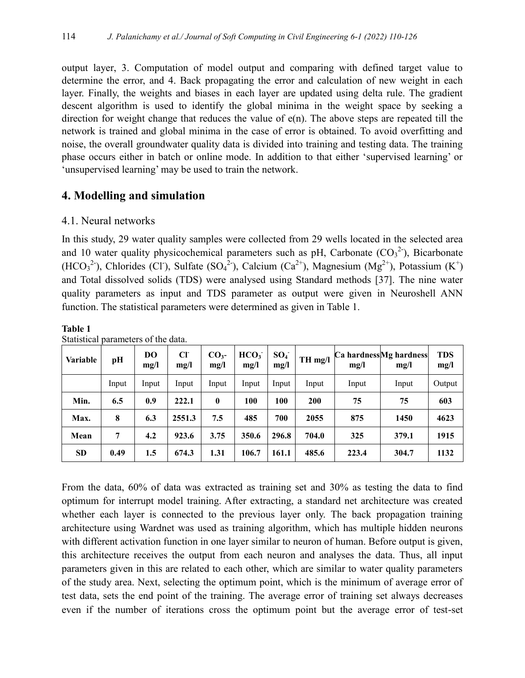output layer, 3. Computation of model output and comparing with defined target value to determine the error, and 4. Back propagating the error and calculation of new weight in each layer. Finally, the weights and biases in each layer are updated using delta rule. The gradient descent algorithm is used to identify the global minima in the weight space by seeking a direction for weight change that reduces the value of  $e(n)$ . The above steps are repeated till the network is trained and global minima in the case of error is obtained. To avoid overfitting and noise, the overall groundwater quality data is divided into training and testing data. The training phase occurs either in batch or online mode. In addition to that either 'supervised learning' or 'unsupervised learning' may be used to train the network.

### **4. Modelling and simulation**

#### 4.1. Neural networks

In this study, 29 water quality samples were collected from 29 wells located in the selected area and 10 water quality physicochemical parameters such as pH, Carbonate  $(CO_3^2)$ , Bicarbonate  $(HCO<sub>3</sub><sup>2</sup>)$ , Chlorides (Cl<sup>-</sup>), Sulfate (SO<sub>4</sub><sup>2-</sup>), Calcium (Ca<sup>2+</sup>), Magnesium (Mg<sup>2+</sup>), Potassium (K<sup>+</sup>) and Total dissolved solids (TDS) were analysed using Standard methods [37]. The nine water quality parameters as input and TDS parameter as output were given in Neuroshell ANN function. The statistical parameters were determined as given in Table 1.

| <b>Variable</b> | pН    | DO<br>mg/l | $\mathbf{C}$<br>mg/l | CO <sub>3</sub><br>mg/l | HCO <sub>3</sub><br>mg/l | SO <sub>4</sub><br>mg/l | TH mg/l | mg/l  | Ca hardnessMg hardness<br>mg/l | <b>TDS</b><br>mg/l |
|-----------------|-------|------------|----------------------|-------------------------|--------------------------|-------------------------|---------|-------|--------------------------------|--------------------|
|                 | Input | Input      | Input                | Input                   | Input                    | Input                   | Input   | Input | Input                          | Output             |
| Min.            | 6.5   | 0.9        | 222.1                | $\bf{0}$                | 100                      | 100                     | 200     | 75    | 75                             | 603                |
| Max.            | 8     | 6.3        | 2551.3               | 7.5                     | 485                      | 700                     | 2055    | 875   | 1450                           | 4623               |
| Mean            | 7     | 4.2        | 923.6                | 3.75                    | 350.6                    | 296.8                   | 704.0   | 325   | 379.1                          | 1915               |
| <b>SD</b>       | 0.49  | $1.5\,$    | 674.3                | 1.31                    | 106.7                    | 161.1                   | 485.6   | 223.4 | 304.7                          | 1132               |

#### **Table 1**

Statistical parameters of the data.

From the data, 60% of data was extracted as training set and 30% as testing the data to find optimum for interrupt model training. After extracting, a standard net architecture was created whether each layer is connected to the previous layer only. The back propagation training architecture using Wardnet was used as training algorithm, which has multiple hidden neurons with different activation function in one layer similar to neuron of human. Before output is given, this architecture receives the output from each neuron and analyses the data. Thus, all input parameters given in this are related to each other, which are similar to water quality parameters of the study area. Next, selecting the optimum point, which is the minimum of average error of test data, sets the end point of the training. The average error of training set always decreases even if the number of iterations cross the optimum point but the average error of test-set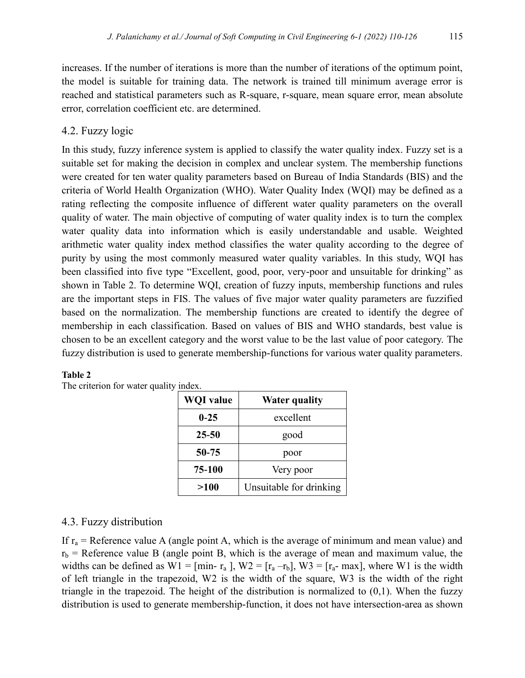increases. If the number of iterations is more than the number of iterations of the optimum point, the model is suitable for training data. The network is trained till minimum average error is reached and statistical parameters such as R-square, r-square, mean square error, mean absolute error, correlation coefficient etc. are determined.

#### 4.2. Fuzzy logic

In this study, fuzzy inference system is applied to classify the water quality index. Fuzzy set is a suitable set for making the decision in complex and unclear system. The membership functions were created for ten water quality parameters based on Bureau of India Standards (BIS) and the criteria of World Health Organization (WHO). Water Quality Index (WQI) may be defined as a rating reflecting the composite influence of different water quality parameters on the overall quality of water. The main objective of computing of water quality index is to turn the complex water quality data into information which is easily understandable and usable. Weighted arithmetic water quality index method classifies the water quality according to the degree of purity by using the most commonly measured water quality variables. In this study, WQI has been classified into five type "Excellent, good, poor, very-poor and unsuitable for drinking" as shown in Table 2. To determine WQI, creation of fuzzy inputs, membership functions and rules are the important steps in FIS. The values of five major water quality parameters are fuzzified based on the normalization. The membership functions are created to identify the degree of membership in each classification. Based on values of BIS and WHO standards, best value is chosen to be an excellent category and the worst value to be the last value of poor category. The fuzzy distribution is used to generate membership-functions for various water quality parameters.

#### **Table 2**

| <b>WQI</b> value | <b>Water quality</b>    |  |  |  |  |
|------------------|-------------------------|--|--|--|--|
| $0 - 25$         | excellent               |  |  |  |  |
| 25-50            | good                    |  |  |  |  |
| 50-75            | poor                    |  |  |  |  |
| 75-100           | Very poor               |  |  |  |  |
| >100             | Unsuitable for drinking |  |  |  |  |

The criterion for water quality index.

#### 4.3. Fuzzy distribution

If  $r_a$  = Reference value A (angle point A, which is the average of minimum and mean value) and  $r_b$  = Reference value B (angle point B, which is the average of mean and maximum value, the widths can be defined as  $W1 = [min - r_a]$ ,  $W2 = [r_a - r_b]$ ,  $W3 = [r_a - max]$ , where W1 is the width of left triangle in the trapezoid, W2 is the width of the square, W3 is the width of the right triangle in the trapezoid. The height of the distribution is normalized to  $(0,1)$ . When the fuzzy distribution is used to generate membership-function, it does not have intersection-area as shown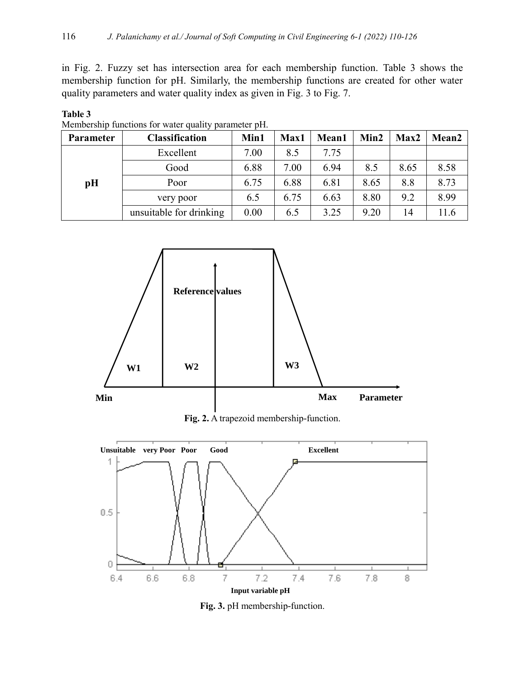in Fig. 2. Fuzzy set has intersection area for each membership function. Table 3 shows the membership function for pH. Similarly, the membership functions are created for other water quality parameters and water quality index as given in Fig. 3 to Fig. 7.

| <b>Parameter</b> | <b>Classification</b>   | Min1 | Max1 | Mean1 | Min2 | Max2 | Mean <sub>2</sub> |
|------------------|-------------------------|------|------|-------|------|------|-------------------|
|                  | Excellent               | 7.00 | 8.5  | 7.75  |      |      |                   |
|                  | Good                    | 6.88 | 7.00 | 6.94  | 8.5  | 8.65 | 8.58              |
| pH               | Poor                    | 6.75 | 6.88 | 6.81  | 8.65 | 8.8  | 8.73              |
|                  | very poor               | 6.5  | 6.75 | 6.63  | 8.80 | 9.2  | 8.99              |
|                  | unsuitable for drinking | 0.00 | 6.5  | 3.25  | 9.20 | 14   | 11.6              |

Membership functions for water quality parameter pH.

**Table 3**



**Fig. 2.** A trapezoid membership-function.



**Fig. 3.** pH membership-function.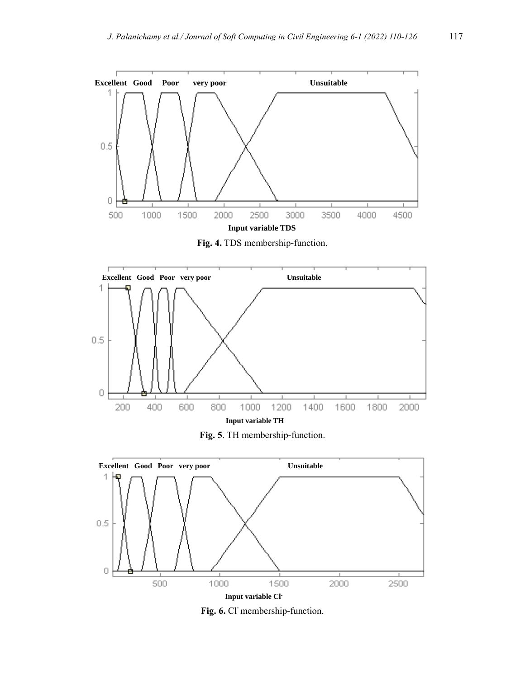

**Fig. 4.** TDS membership-function.







**Fig. 6.** Cl- membership-function.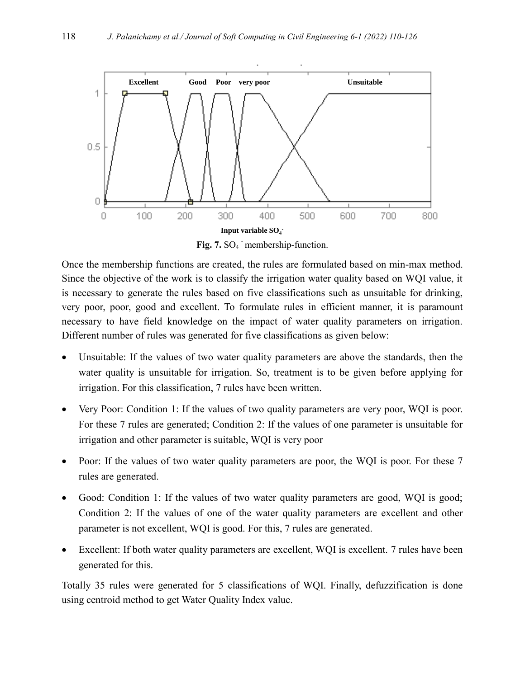

Fig. 7. SO<sub>4</sub> membership-function.

Once the membership functions are created, the rules are formulated based on min-max method. Since the objective of the work is to classify the irrigation water quality based on WQI value, it is necessary to generate the rules based on five classifications such as unsuitable for drinking, very poor, poor, good and excellent. To formulate rules in efficient manner, it is paramount necessary to have field knowledge on the impact of water quality parameters on irrigation. Different number of rules was generated for five classifications as given below:

- Unsuitable: If the values of two water quality parameters are above the standards, then the water quality is unsuitable for irrigation. So, treatment is to be given before applying for irrigation. For this classification, 7 rules have been written.
- Very Poor: Condition 1: If the values of two quality parameters are very poor, WQI is poor. For these 7 rules are generated; Condition 2: If the values of one parameter is unsuitable for irrigation and other parameter is suitable, WQI is very poor
- Poor: If the values of two water quality parameters are poor, the WQI is poor. For these 7 rules are generated.
- Good: Condition 1: If the values of two water quality parameters are good, WQI is good; Condition 2: If the values of one of the water quality parameters are excellent and other parameter is not excellent, WQI is good. For this, 7 rules are generated.
- Excellent: If both water quality parameters are excellent, WQI is excellent. 7 rules have been generated for this.

Totally 35 rules were generated for 5 classifications of WQI. Finally, defuzzification is done using centroid method to get Water Quality Index value.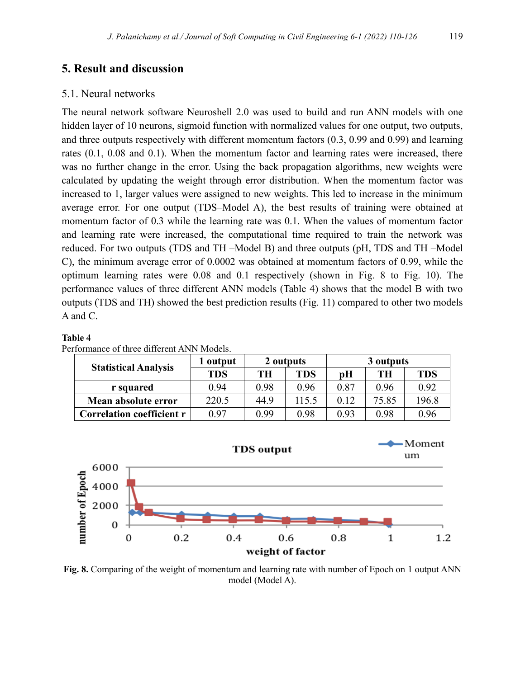## **5. Result and discussion**

#### 5.1. Neural networks

The neural network software Neuroshell 2.0 was used to build and run ANN models with one hidden layer of 10 neurons, sigmoid function with normalized values for one output, two outputs, and three outputs respectively with different momentum factors (0.3, 0.99 and 0.99) and learning rates (0.1, 0.08 and 0.1). When the momentum factor and learning rates were increased, there was no further change in the error. Using the back propagation algorithms, new weights were calculated by updating the weight through error distribution. When the momentum factor was increased to 1, larger values were assigned to new weights. This led to increase in the minimum average error. For one output (TDS–Model A), the best results of training were obtained at momentum factor of 0.3 while the learning rate was 0.1. When the values of momentum factor and learning rate were increased, the computational time required to train the network was reduced. For two outputs (TDS and TH –Model B) and three outputs (pH, TDS and TH –Model C), the minimum average error of 0.0002 was obtained at momentum factors of 0.99, while the optimum learning rates were 0.08 and 0.1 respectively (shown in Fig. 8 to Fig. 10). The performance values of three different ANN models (Table 4) shows that the model B with two outputs (TDS and TH) showed the best prediction results (Fig. 11) compared to other two models A and C.

#### **Table 4**

|                                  | 2 outputs<br>1 output |      |            | 3 outputs |       |            |  |
|----------------------------------|-----------------------|------|------------|-----------|-------|------------|--|
| <b>Statistical Analysis</b>      | <b>TDS</b>            | TН   | <b>TDS</b> | pН        | TH    | <b>TDS</b> |  |
| r squared                        | 0.94                  | 0.98 | 0.96       | 0.87      | 0.96  | 0.92       |  |
| Mean absolute error              | 220.5                 | 44.9 | 115.5      | 0.12      | 75.85 | 196.8      |  |
| <b>Correlation coefficient r</b> | 0.97                  | 0.99 | 0.98       | 0.93      | 0.98  | 0.96       |  |

Performance of three different ANN Models.



**Fig. 8.** Comparing of the weight of momentum and learning rate with number of Epoch on 1 output ANN model (Model A).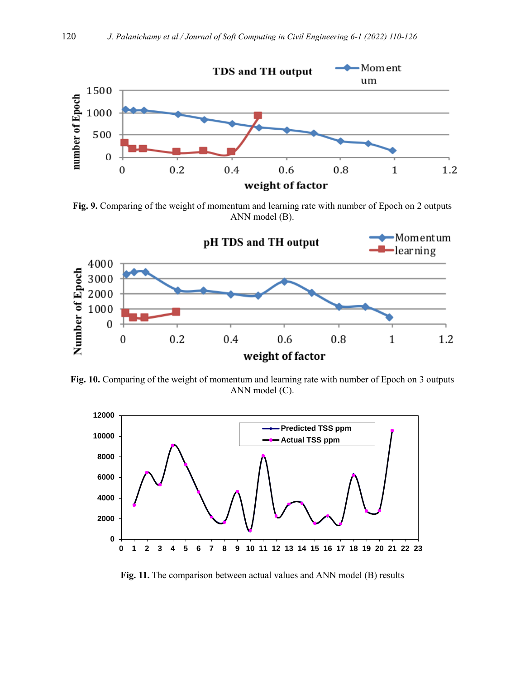

**Fig. 9.** Comparing of the weight of momentum and learning rate with number of Epoch on 2 outputs ANN model (B).



**Fig. 10.** Comparing of the weight of momentum and learning rate with number of Epoch on 3 outputs ANN model (C).



**Fig. 11.** The comparison between actual values and ANN model (B) results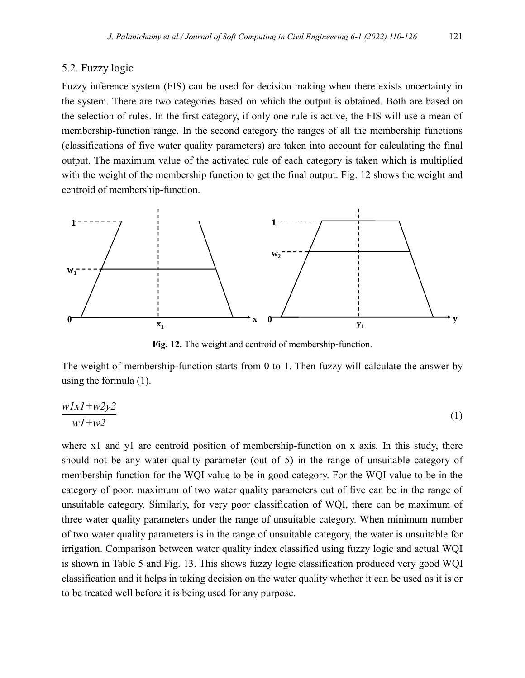#### 5.2. Fuzzy logic

Fuzzy inference system (FIS) can be used for decision making when there exists uncertainty in the system. There are two categories based on which the output is obtained. Both are based on the selection of rules. In the first category, if only one rule is active, the FIS will use a mean of membership-function range. In the second category the ranges of all the membership functions (classifications of five water quality parameters) are taken into account for calculating the final output. The maximum value of the activated rule of each category is taken which is multiplied with the weight of the membership function to get the final output. Fig. 12 shows the weight and centroid of membership-function.



**Fig. 12.** The weight and centroid of membership-function.

The weight of membership-function starts from 0 to 1. Then fuzzy will calculate the answer by using the formula (1).

$$
\frac{wlxl + w2y2}{wl + w2} \tag{1}
$$

where x1 and y1 are centroid position of membership-function on x axis*.* In this study, there should not be any water quality parameter (out of 5) in the range of unsuitable category of membership function for the WQI value to be in good category. For the WQI value to be in the category of poor, maximum of two water quality parameters out of five can be in the range of unsuitable category. Similarly, for very poor classification of WQI, there can be maximum of three water quality parameters under the range of unsuitable category. When minimum number of two water quality parameters is in the range of unsuitable category, the water is unsuitable for irrigation. Comparison between water quality index classified using fuzzy logic and actual WQI is shown in Table 5 and Fig. 13. This shows fuzzy logic classification produced very good WQI classification and it helps in taking decision on the water quality whether it can be used as it is or to be treated well before it is being used for any purpose.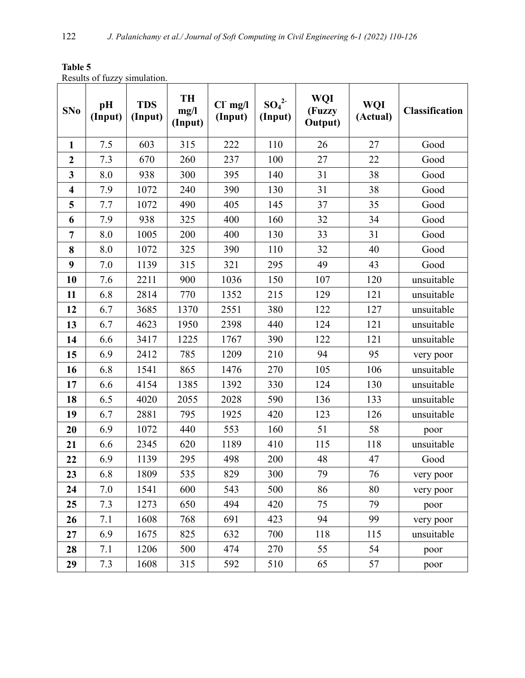| Table 5                      |
|------------------------------|
| Results of fuzzy simulation. |

| SNo                     | pH<br>(Input) | <b>TDS</b><br>(Input) | TH<br>mg/l<br>(Input) | $CI$ mg/l<br>(Input) | SO <sub>4</sub> <sup>2</sup><br>(Input) | WQI<br>(Fuzzy<br>Output) | <b>WQI</b><br>(Actual) | <b>Classification</b> |
|-------------------------|---------------|-----------------------|-----------------------|----------------------|-----------------------------------------|--------------------------|------------------------|-----------------------|
| $\mathbf{1}$            | 7.5           | 603                   | 315                   | 222                  | 110                                     | 26                       | 27                     | Good                  |
| $\overline{2}$          | 7.3           | 670                   | 260                   | 237                  | 100                                     | 27                       | 22                     | Good                  |
| $\mathbf{3}$            | 8.0           | 938                   | 300                   | 395                  | 140                                     | 31                       | 38                     | Good                  |
| $\overline{\mathbf{4}}$ | 7.9           | 1072                  | 240                   | 390                  | 130                                     | 31                       | 38                     | Good                  |
| 5                       | 7.7           | 1072                  | 490                   | 405                  | 145                                     | 37                       | 35                     | Good                  |
| 6                       | 7.9           | 938                   | 325                   | 400                  | 160                                     | 32                       | 34                     | Good                  |
| $\overline{7}$          | 8.0           | 1005                  | 200                   | 400                  | 130                                     | 33                       | 31                     | Good                  |
| 8                       | 8.0           | 1072                  | 325                   | 390                  | 110                                     | 32                       | 40                     | Good                  |
| 9                       | 7.0           | 1139                  | 315                   | 321                  | 295                                     | 49                       | 43                     | Good                  |
| 10                      | 7.6           | 2211                  | 900                   | 1036                 | 150                                     | 107                      | 120                    | unsuitable            |
| 11                      | 6.8           | 2814                  | 770                   | 1352                 | 215                                     | 129                      | 121                    | unsuitable            |
| 12                      | 6.7           | 3685                  | 1370                  | 2551                 | 380                                     | 122                      | 127                    | unsuitable            |
| 13                      | 6.7           | 4623                  | 1950                  | 2398                 | 440                                     | 124                      | 121                    | unsuitable            |
| 14                      | 6.6           | 3417                  | 1225                  | 1767                 | 390                                     | 122                      | 121                    | unsuitable            |
| 15                      | 6.9           | 2412                  | 785                   | 1209                 | 210                                     | 94                       | 95                     | very poor             |
| 16                      | 6.8           | 1541                  | 865                   | 1476                 | 270                                     | 105                      | 106                    | unsuitable            |
| 17                      | 6.6           | 4154                  | 1385                  | 1392                 | 330                                     | 124                      | 130                    | unsuitable            |
| 18                      | 6.5           | 4020                  | 2055                  | 2028                 | 590                                     | 136                      | 133                    | unsuitable            |
| 19                      | 6.7           | 2881                  | 795                   | 1925                 | 420                                     | 123                      | 126                    | unsuitable            |
| 20                      | 6.9           | 1072                  | 440                   | 553                  | 160                                     | 51                       | 58                     | poor                  |
| 21                      | 6.6           | 2345                  | 620                   | 1189                 | 410                                     | 115                      | 118                    | unsuitable            |
| 22                      | 6.9           | 1139                  | 295                   | 498                  | 200                                     | 48                       | 47                     | Good                  |
| 23                      | 6.8           | 1809                  | 535                   | 829                  | 300                                     | 79                       | 76                     | very poor             |
| 24                      | 7.0           | 1541                  | 600                   | 543                  | 500                                     | 86                       | 80                     | very poor             |
| 25                      | 7.3           | 1273                  | 650                   | 494                  | 420                                     | 75                       | 79                     | poor                  |
| 26                      | 7.1           | 1608                  | 768                   | 691                  | 423                                     | 94                       | 99                     | very poor             |
| 27                      | 6.9           | 1675                  | 825                   | 632                  | 700                                     | 118                      | 115                    | unsuitable            |
| 28                      | 7.1           | 1206                  | 500                   | 474                  | 270                                     | 55                       | 54                     | poor                  |
| 29                      | 7.3           | 1608                  | 315                   | 592                  | 510                                     | 65                       | 57                     | poor                  |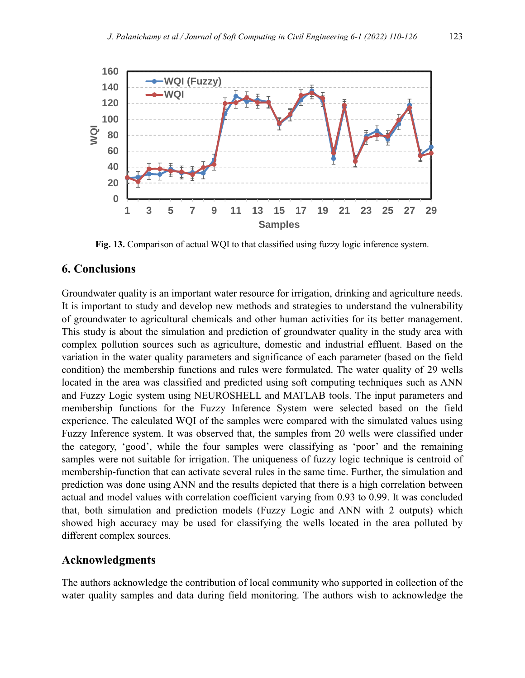

**Fig. 13.** Comparison of actual WQI to that classified using fuzzy logic inference system.

## **6. Conclusions**

Groundwater quality is an important water resource for irrigation, drinking and agriculture needs. It is important to study and develop new methods and strategies to understand the vulnerability of groundwater to agricultural chemicals and other human activities for its better management. This study is about the simulation and prediction of groundwater quality in the study area with complex pollution sources such as agriculture, domestic and industrial effluent. Based on the variation in the water quality parameters and significance of each parameter (based on the field condition) the membership functions and rules were formulated. The water quality of 29 wells located in the area was classified and predicted using soft computing techniques such as ANN and Fuzzy Logic system using NEUROSHELL and MATLAB tools. The input parameters and membership functions for the Fuzzy Inference System were selected based on the field experience. The calculated WQI of the samples were compared with the simulated values using Fuzzy Inference system. It was observed that, the samples from 20 wells were classified under the category, 'good', while the four samples were classifying as 'poor' and the remaining samples were not suitable for irrigation. The uniqueness of fuzzy logic technique is centroid of membership-function that can activate several rules in the same time. Further, the simulation and prediction was done using ANN and the results depicted that there is a high correlation between actual and model values with correlation coefficient varying from 0.93 to 0.99. It was concluded that, both simulation and prediction models (Fuzzy Logic and ANN with 2 outputs) which showed high accuracy may be used for classifying the wells located in the area polluted by different complex sources.

#### **Acknowledgments**

The authors acknowledge the contribution of local community who supported in collection of the water quality samples and data during field monitoring. The authors wish to acknowledge the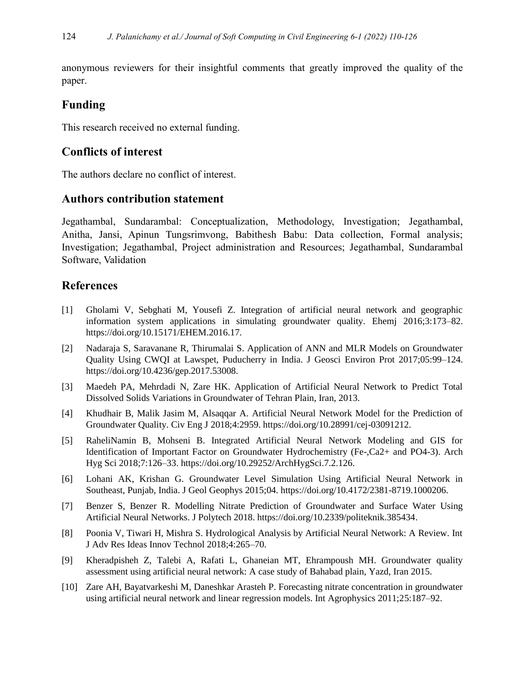anonymous reviewers for their insightful comments that greatly improved the quality of the paper.

## **Funding**

This research received no external funding.

## **Conflicts of interest**

The authors declare no conflict of interest.

## **Authors contribution statement**

Jegathambal, Sundarambal: Conceptualization, Methodology, Investigation; Jegathambal, Anitha, Jansi, Apinun Tungsrimvong, Babithesh Babu: Data collection, Formal analysis; Investigation; Jegathambal, Project administration and Resources; Jegathambal, Sundarambal Software, Validation

## **References**

- [1] Gholami V, Sebghati M, Yousefi Z. Integration of artificial neural network and geographic information system applications in simulating groundwater quality. Ehemj 2016;3:173–82. https://doi.org/10.15171/EHEM.2016.17.
- [2] Nadaraja S, Saravanane R, Thirumalai S. Application of ANN and MLR Models on Groundwater Quality Using CWQI at Lawspet, Puducherry in India. J Geosci Environ Prot 2017;05:99–124. https://doi.org/10.4236/gep.2017.53008.
- [3] Maedeh PA, Mehrdadi N, Zare HK. Application of Artificial Neural Network to Predict Total Dissolved Solids Variations in Groundwater of Tehran Plain, Iran, 2013.
- [4] Khudhair B, Malik Jasim M, Alsaqqar A. Artificial Neural Network Model for the Prediction of Groundwater Quality. Civ Eng J 2018;4:2959. https://doi.org/10.28991/cej-03091212.
- [5] RaheliNamin B, Mohseni B. Integrated Artificial Neural Network Modeling and GIS for Identification of Important Factor on Groundwater Hydrochemistry (Fe-,Ca2+ and PO4-3). Arch Hyg Sci 2018;7:126–33. https://doi.org/10.29252/ArchHygSci.7.2.126.
- [6] Lohani AK, Krishan G. Groundwater Level Simulation Using Artificial Neural Network in Southeast, Punjab, India. J Geol Geophys 2015;04. https://doi.org/10.4172/2381-8719.1000206.
- [7] Benzer S, Benzer R. Modelling Nitrate Prediction of Groundwater and Surface Water Using Artificial Neural Networks. J Polytech 2018. https://doi.org/10.2339/politeknik.385434.
- [8] Poonia V, Tiwari H, Mishra S. Hydrological Analysis by Artificial Neural Network: A Review. Int J Adv Res Ideas Innov Technol 2018;4:265–70.
- [9] Kheradpisheh Z, Talebi A, Rafati L, Ghaneian MT, Ehrampoush MH. Groundwater quality assessment using artificial neural network: A case study of Bahabad plain, Yazd, Iran 2015.
- [10] Zare AH, Bayatvarkeshi M, Daneshkar Arasteh P. Forecasting nitrate concentration in groundwater using artificial neural network and linear regression models. Int Agrophysics 2011;25:187–92.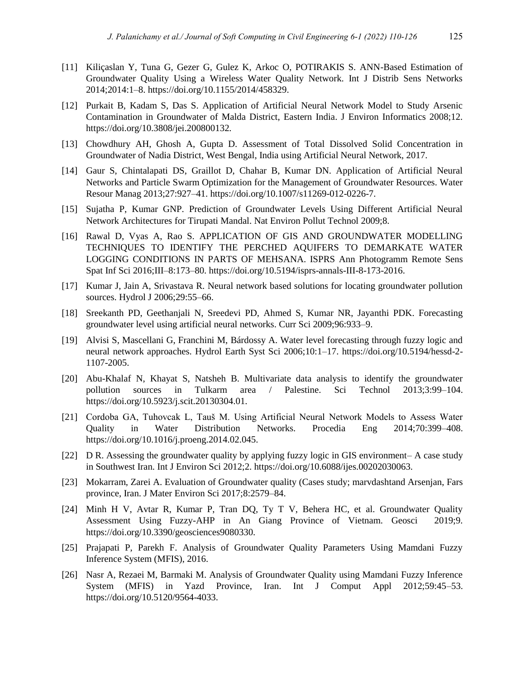- [11] Kiliçaslan Y, Tuna G, Gezer G, Gulez K, Arkoc O, POTIRAKIS S. ANN-Based Estimation of Groundwater Quality Using a Wireless Water Quality Network. Int J Distrib Sens Networks 2014;2014:1–8. https://doi.org/10.1155/2014/458329.
- [12] Purkait B, Kadam S, Das S. Application of Artificial Neural Network Model to Study Arsenic Contamination in Groundwater of Malda District, Eastern India. J Environ Informatics 2008;12. https://doi.org/10.3808/jei.200800132.
- [13] Chowdhury AH, Ghosh A, Gupta D. Assessment of Total Dissolved Solid Concentration in Groundwater of Nadia District, West Bengal, India using Artificial Neural Network, 2017.
- [14] Gaur S, Chintalapati DS, Graillot D, Chahar B, Kumar DN. Application of Artificial Neural Networks and Particle Swarm Optimization for the Management of Groundwater Resources. Water Resour Manag 2013;27:927–41. https://doi.org/10.1007/s11269-012-0226-7.
- [15] Sujatha P, Kumar GNP. Prediction of Groundwater Levels Using Different Artificial Neural Network Architectures for Tirupati Mandal. Nat Environ Pollut Technol 2009;8.
- [16] Rawal D, Vyas A, Rao S. APPLICATION OF GIS AND GROUNDWATER MODELLING TECHNIQUES TO IDENTIFY THE PERCHED AQUIFERS TO DEMARKATE WATER LOGGING CONDITIONS IN PARTS OF MEHSANA. ISPRS Ann Photogramm Remote Sens Spat Inf Sci 2016;III–8:173–80. https://doi.org/10.5194/isprs-annals-III-8-173-2016.
- [17] Kumar J, Jain A, Srivastava R. Neural network based solutions for locating groundwater pollution sources. Hydrol J 2006;29:55–66.
- [18] Sreekanth PD, Geethanjali N, Sreedevi PD, Ahmed S, Kumar NR, Jayanthi PDK. Forecasting groundwater level using artificial neural networks. Curr Sci 2009;96:933–9.
- [19] Alvisi S, Mascellani G, Franchini M, Bárdossy A. Water level forecasting through fuzzy logic and neural network approaches. Hydrol Earth Syst Sci 2006;10:1–17. https://doi.org/10.5194/hessd-2- 1107-2005.
- [20] Abu-Khalaf N, Khayat S, Natsheh B. Multivariate data analysis to identify the groundwater pollution sources in Tulkarm area / Palestine. Sci Technol 2013;3:99–104. https://doi.org/10.5923/j.scit.20130304.01.
- [21] Cordoba GA, Tuhovcak L, Tauš M. Using Artificial Neural Network Models to Assess Water Quality in Water Distribution Networks. Procedia Eng 2014;70:399–408. https://doi.org/10.1016/j.proeng.2014.02.045.
- [22] D R. Assessing the groundwater quality by applying fuzzy logic in GIS environment– A case study in Southwest Iran. Int J Environ Sci 2012;2. https://doi.org/10.6088/ijes.00202030063.
- [23] Mokarram, Zarei A. Evaluation of Groundwater quality (Cases study; marvdashtand Arsenjan, Fars province, Iran. J Mater Environ Sci 2017;8:2579–84.
- [24] Minh H V, Avtar R, Kumar P, Tran DQ, Ty T V, Behera HC, et al. Groundwater Quality Assessment Using Fuzzy-AHP in An Giang Province of Vietnam. Geosci 2019;9. https://doi.org/10.3390/geosciences9080330.
- [25] Prajapati P, Parekh F. Analysis of Groundwater Quality Parameters Using Mamdani Fuzzy Inference System (MFIS), 2016.
- [26] Nasr A, Rezaei M, Barmaki M. Analysis of Groundwater Quality using Mamdani Fuzzy Inference System (MFIS) in Yazd Province, Iran. Int J Comput Appl 2012;59:45–53. https://doi.org/10.5120/9564-4033.